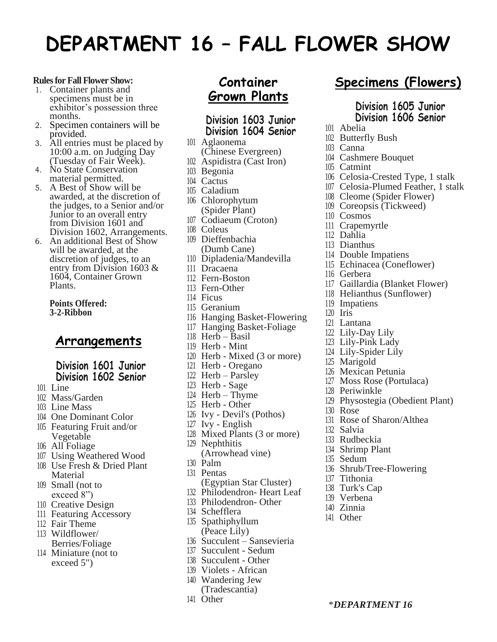# **DEPARTMENT 16 – FALL FLOWER SHOW**

#### **Rules for Fall Flower Show:**

- 1. Container plants and specimens must be in exhibitor's possession three months.
- 2. Specimen containers will be provided.
- 3. All entries must be placed by 10:00 a.m. on Judging Day (Tuesday of Fair Week).
- 4. No State Conservation material permitted.
- 5. A Best of Show will be awarded, at the discretion of the judges, to a Senior and/or Junior to an overall entry from Division 1601 and Division 1602, Arrangements.
- 6. An additional Best of Show will be awarded, at the discretion of judges, to an entry from Division 1603 & 1604, Container Grown Plants.

**Points Offered: 3-2-Ribbon**

#### **Arrangements**

#### **Division 1601 Junior Division 1602 Senior**

- Line
- Mass/Garden
- Line Mass
- One Dominant Color
- Featuring Fruit and/or Vegetable
- All Foliage
- Using Weathered Wood
- Use Fresh & Dried Plant Material
- Small (not to exceed 8")
- Creative Design
- Featuring Accessory
- Fair Theme
- Wildflower/ Berries/Foliage
- Miniature (not to exceed 5")

### **Container Grown Plants**

#### **Division 1603 Junior Division 1604 Senior**

- Aglaonema (Chinese Evergreen)
- Aspidistra (Cast Iron)
- Begonia
- Cactus
- Caladium
- Chlorophytum (Spider Plant)
- Codiaeum (Croton)
- Coleus
- Dieffenbachia (Dumb Cane)
- Dipladenia/Mandevilla
- Dracaena
- Fern-Boston
- Fern-Other
- Ficus
- Geranium
- Hanging Basket-Flowering
- Hanging Basket-Foliage
- Herb Basil
- Herb Mint
- Herb Mixed (3 or more)
- Herb Oregano
- Herb Parsley
- Herb Sage
- Herb Thyme
- Herb Other
- Ivy Devil's (Pothos)
- Ivy English
- Mixed Plants (3 or more)
- Nephthitis
- (Arrowhead vine)
- Palm
- Pentas
- (Egyptian Star Cluster)
- Philodendron- Heart Leaf
- Philodendron- Other
- Schefflera
- Spathiphyllum (Peace Lily)
- Succulent Sansevieria
- Succulent Sedum
- Succulent Other
- Violets African
- Wandering Jew
- (Tradescantia)
- Other

## **Specimens (Flowers)**

#### **Division 1605 Junior Division 1606 Senior**

- Abelia
- Butterfly Bush
- Canna
- Cashmere Bouquet
- Catmint
- Celosia-Crested Type, 1 stalk
- Celosia-Plumed Feather, 1 stalk
- Cleome (Spider Flower)
- Coreopsis (Tickweed)
- Cosmos
- Crapemyrtle
- Dahlia
- Dianthus
- Double Impatiens
- Echinacea (Coneflower)
- Gerbera
- Gaillardia (Blanket Flower)
- Helianthus (Sunflower)
- Impatiens
- Iris
- Lantana
- Lily-Day Lily
- Lily-Pink Lady
- Lily-Spider Lily
- Marigold

Periwinkle

Rose

 Salvia Rudbeckia Shrimp Plant Sedum

 Tithonia Turk's Cap Verbena Zinnia Other

- Mexican Petunia
- Moss Rose (Portulaca)

Rose of Sharon/Althea

Shrub/Tree-Flowering

\**DEPARTMENT 16* 

Physostegia (Obedient Plant)